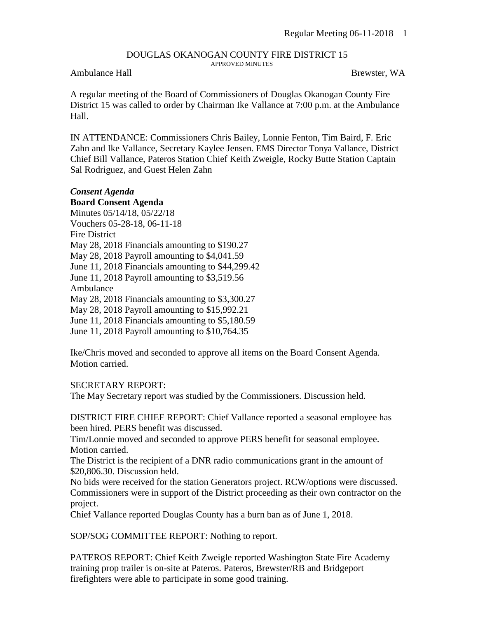#### DOUGLAS OKANOGAN COUNTY FIRE DISTRICT 15 APPROVED MINUTES

## Ambulance Hall Brewster, WA

A regular meeting of the Board of Commissioners of Douglas Okanogan County Fire District 15 was called to order by Chairman Ike Vallance at 7:00 p.m. at the Ambulance Hall.

IN ATTENDANCE: Commissioners Chris Bailey, Lonnie Fenton, Tim Baird, F. Eric Zahn and Ike Vallance, Secretary Kaylee Jensen. EMS Director Tonya Vallance, District Chief Bill Vallance, Pateros Station Chief Keith Zweigle, Rocky Butte Station Captain Sal Rodriguez, and Guest Helen Zahn

#### *Consent Agenda*

**Board Consent Agenda** Minutes 05/14/18, 05/22/18 Vouchers 05-28-18, 06-11-18 Fire District May 28, 2018 Financials amounting to \$190.27 May 28, 2018 Payroll amounting to \$4,041.59 June 11, 2018 Financials amounting to \$44,299.42 June 11, 2018 Payroll amounting to \$3,519.56 Ambulance May 28, 2018 Financials amounting to \$3,300.27 May 28, 2018 Payroll amounting to \$15,992.21 June 11, 2018 Financials amounting to \$5,180.59 June 11, 2018 Payroll amounting to \$10,764.35

Ike/Chris moved and seconded to approve all items on the Board Consent Agenda. Motion carried.

### SECRETARY REPORT:

The May Secretary report was studied by the Commissioners. Discussion held.

DISTRICT FIRE CHIEF REPORT: Chief Vallance reported a seasonal employee has been hired. PERS benefit was discussed.

Tim/Lonnie moved and seconded to approve PERS benefit for seasonal employee. Motion carried.

The District is the recipient of a DNR radio communications grant in the amount of \$20,806.30. Discussion held.

No bids were received for the station Generators project. RCW/options were discussed. Commissioners were in support of the District proceeding as their own contractor on the project.

Chief Vallance reported Douglas County has a burn ban as of June 1, 2018.

SOP/SOG COMMITTEE REPORT: Nothing to report.

PATEROS REPORT: Chief Keith Zweigle reported Washington State Fire Academy training prop trailer is on-site at Pateros. Pateros, Brewster/RB and Bridgeport firefighters were able to participate in some good training.